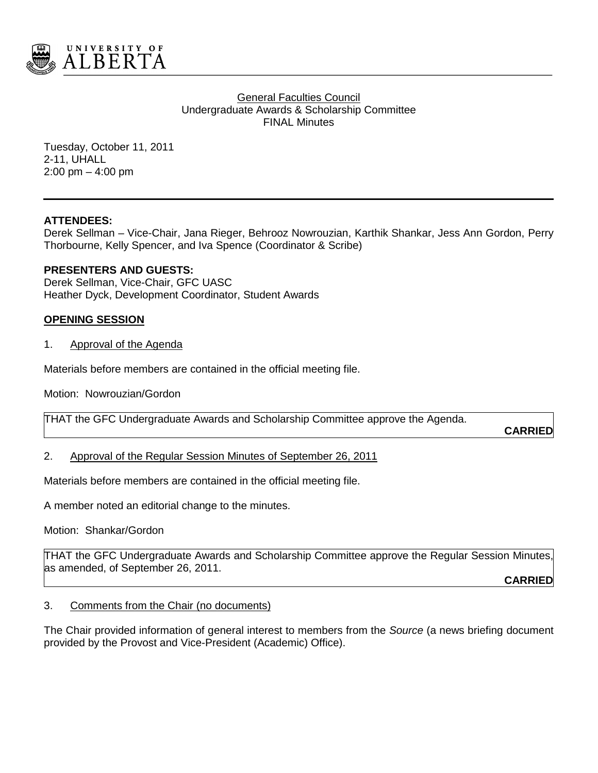

**General Faculties Council** Undergraduate Awards & Scholarship Committee FINAL Minutes

Tuesday, October 11, 2011 2-11, UHALL 2:00 pm – 4:00 pm

## **ATTENDEES:**

Derek Sellman – Vice-Chair, Jana Rieger, Behrooz Nowrouzian, Karthik Shankar, Jess Ann Gordon, Perry Thorbourne, Kelly Spencer, and Iva Spence (Coordinator & Scribe)

## **PRESENTERS AND GUESTS:**

Derek Sellman, Vice-Chair, GFC UASC Heather Dyck, Development Coordinator, Student Awards

## **OPENING SESSION**

1. Approval of the Agenda

Materials before members are contained in the official meeting file.

Motion: Nowrouzian/Gordon

THAT the GFC Undergraduate Awards and Scholarship Committee approve the Agenda.

**CARRIED**

### 2. Approval of the Regular Session Minutes of September 26, 2011

Materials before members are contained in the official meeting file.

A member noted an editorial change to the minutes.

Motion: Shankar/Gordon

THAT the GFC Undergraduate Awards and Scholarship Committee approve the Regular Session Minutes, as amended, of September 26, 2011.

**CARRIED**

#### 3. Comments from the Chair (no documents)

The Chair provided information of general interest to members from the *Source* (a news briefing document provided by the Provost and Vice-President (Academic) Office).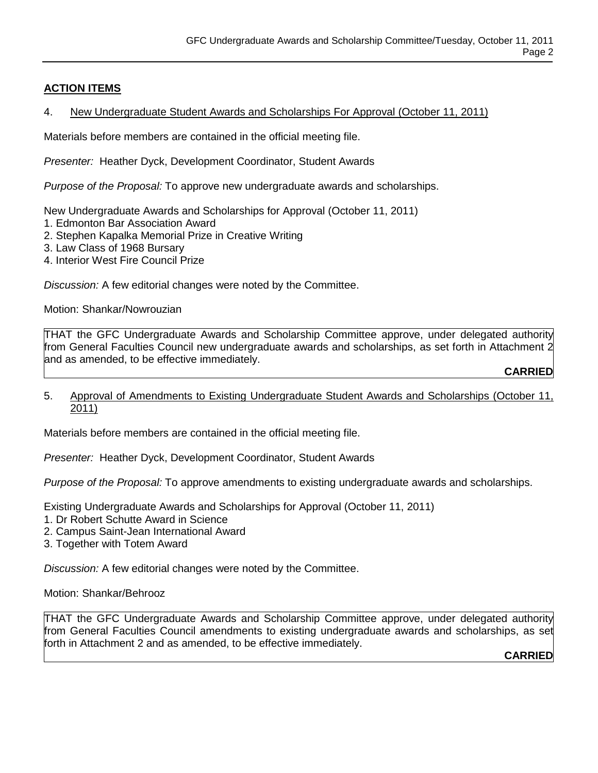# **ACTION ITEMS**

# 4. New Undergraduate Student Awards and Scholarships For Approval (October 11, 2011)

Materials before members are contained in the official meeting file.

*Presenter:* Heather Dyck, Development Coordinator, Student Awards

*Purpose of the Proposal:* To approve new undergraduate awards and scholarships.

New Undergraduate Awards and Scholarships for Approval (October 11, 2011)

- 1. Edmonton Bar Association Award
- 2. Stephen Kapalka Memorial Prize in Creative Writing
- 3. Law Class of 1968 Bursary
- 4. Interior West Fire Council Prize

*Discussion:* A few editorial changes were noted by the Committee.

Motion: Shankar/Nowrouzian

THAT the GFC Undergraduate Awards and Scholarship Committee approve, under delegated authority from General Faculties Council new undergraduate awards and scholarships, as set forth in Attachment 2 and as amended, to be effective immediately.

**CARRIED**

5. Approval of Amendments to Existing Undergraduate Student Awards and Scholarships (October 11, 2011)

Materials before members are contained in the official meeting file.

*Presenter:* Heather Dyck, Development Coordinator, Student Awards

*Purpose of the Proposal:* To approve amendments to existing undergraduate awards and scholarships.

Existing Undergraduate Awards and Scholarships for Approval (October 11, 2011)

- 1. Dr Robert Schutte Award in Science
- 2. Campus Saint-Jean International Award
- 3. Together with Totem Award

*Discussion:* A few editorial changes were noted by the Committee.

Motion: Shankar/Behrooz

THAT the GFC Undergraduate Awards and Scholarship Committee approve, under delegated authority from General Faculties Council amendments to existing undergraduate awards and scholarships, as set forth in Attachment 2 and as amended, to be effective immediately.

**CARRIED**